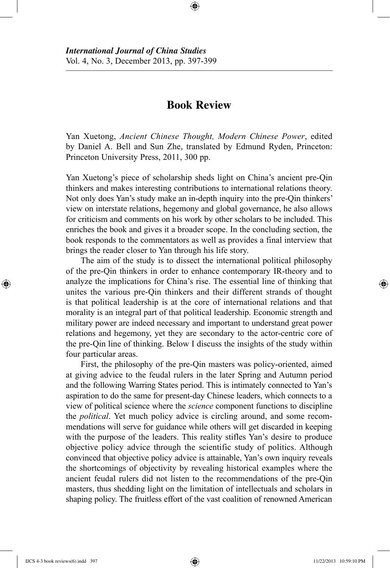## **Book Review**

⊕

Yan Xuetong, *Ancient Chinese Thought, Modern Chinese Power*, edited by Daniel A. Bell and Sun Zhe, translated by Edmund Ryden, Princeton: Princeton University Press, 2011, 300 pp.

Yan Xuetong's piece of scholarship sheds light on China's ancient pre-Qin thinkers and makes interesting contributions to international relations theory. Not only does Yan's study make an in-depth inquiry into the pre-Qin thinkers' view on interstate relations, hegemony and global governance, he also allows for criticism and comments on his work by other scholars to be included. This enriches the book and gives it a broader scope. In the concluding section, the book responds to the commentators as well as provides a final interview that brings the reader closer to Yan through his life story.

The aim of the study is to dissect the international political philosophy of the pre-Qin thinkers in order to enhance contemporary IR-theory and to analyze the implications for China's rise. The essential line of thinking that unites the various pre-Qin thinkers and their different strands of thought is that political leadership is at the core of international relations and that morality is an integral part of that political leadership. Economic strength and military power are indeed necessary and important to understand great power relations and hegemony, yet they are secondary to the actor-centric core of the pre-Qin line of thinking. Below I discuss the insights of the study within four particular areas.

First, the philosophy of the pre-Qin masters was policy-oriented, aimed at giving advice to the feudal rulers in the later Spring and Autumn period and the following Warring States period. This is intimately connected to Yan's aspiration to do the same for present-day Chinese leaders, which connects to a view of political science where the *science* component functions to discipline the *political*. Yet much policy advice is circling around, and some recommendations will serve for guidance while others will get discarded in keeping with the purpose of the leaders. This reality stifles Yan's desire to produce objective policy advice through the scientific study of politics. Although convinced that objective policy advice is attainable, Yan's own inquiry reveals the shortcomings of objectivity by revealing historical examples where the ancient feudal rulers did not listen to the recommendations of the pre-Qin masters, thus shedding light on the limitation of intellectuals and scholars in shaping policy. The fruitless effort of the vast coalition of renowned American

⊕

⊕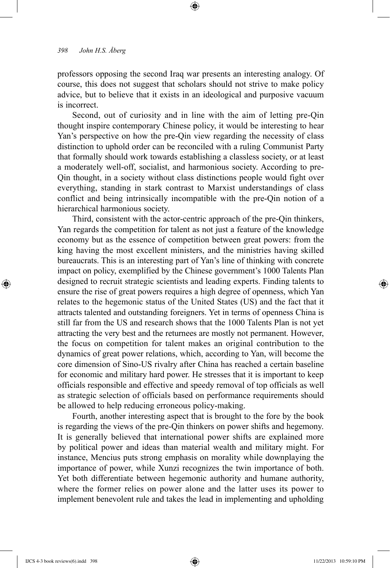## *398 John H.S. Åberg*

professors opposing the second Iraq war presents an interesting analogy. Of course, this does not suggest that scholars should not strive to make policy advice, but to believe that it exists in an ideological and purposive vacuum is incorrect.

⊕

Second, out of curiosity and in line with the aim of letting pre-Qin thought inspire contemporary Chinese policy, it would be interesting to hear Yan's perspective on how the pre-Qin view regarding the necessity of class distinction to uphold order can be reconciled with a ruling Communist Party that formally should work towards establishing a classless society, or at least a moderately well-off, socialist, and harmonious society. According to pre-Qin thought, in a society without class distinctions people would fight over everything, standing in stark contrast to Marxist understandings of class conflict and being intrinsically incompatible with the pre-Qin notion of a hierarchical harmonious society.

Third, consistent with the actor-centric approach of the pre-Qin thinkers, Yan regards the competition for talent as not just a feature of the knowledge economy but as the essence of competition between great powers: from the king having the most excellent ministers, and the ministries having skilled bureaucrats. This is an interesting part of Yan's line of thinking with concrete impact on policy, exemplified by the Chinese government's 1000 Talents Plan designed to recruit strategic scientists and leading experts. Finding talents to ensure the rise of great powers requires a high degree of openness, which Yan relates to the hegemonic status of the United States (US) and the fact that it attracts talented and outstanding foreigners. Yet in terms of openness China is still far from the US and research shows that the 1000 Talents Plan is not yet attracting the very best and the returnees are mostly not permanent. However, the focus on competition for talent makes an original contribution to the dynamics of great power relations, which, according to Yan, will become the core dimension of Sino-US rivalry after China has reached a certain baseline for economic and military hard power. He stresses that it is important to keep officials responsible and effective and speedy removal of top officials as well as strategic selection of officials based on performance requirements should be allowed to help reducing erroneous policy-making.

Fourth, another interesting aspect that is brought to the fore by the book is regarding the views of the pre-Qin thinkers on power shifts and hegemony. It is generally believed that international power shifts are explained more by political power and ideas than material wealth and military might. For instance, Mencius puts strong emphasis on morality while downplaying the importance of power, while Xunzi recognizes the twin importance of both. Yet both differentiate between hegemonic authority and humane authority, where the former relies on power alone and the latter uses its power to implement benevolent rule and takes the lead in implementing and upholding

⊕

⊕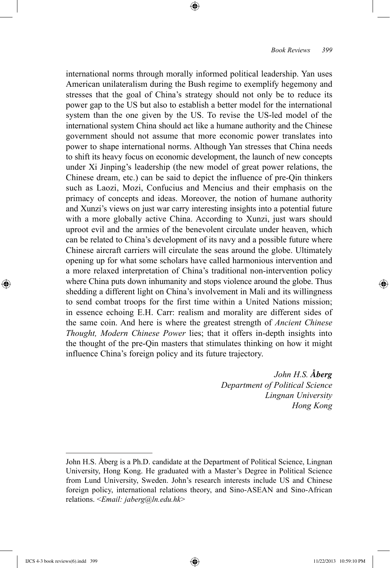international norms through morally informed political leadership. Yan uses American unilateralism during the Bush regime to exemplify hegemony and stresses that the goal of China's strategy should not only be to reduce its power gap to the US but also to establish a better model for the international system than the one given by the US. To revise the US-led model of the international system China should act like a humane authority and the Chinese government should not assume that more economic power translates into power to shape international norms. Although Yan stresses that China needs to shift its heavy focus on economic development, the launch of new concepts under Xi Jinping's leadership (the new model of great power relations, the Chinese dream, etc.) can be said to depict the influence of pre-Qin thinkers such as Laozi, Mozi, Confucius and Mencius and their emphasis on the primacy of concepts and ideas. Moreover, the notion of humane authority and Xunzi's views on just war carry interesting insights into a potential future with a more globally active China. According to Xunzi, just wars should uproot evil and the armies of the benevolent circulate under heaven, which can be related to China's development of its navy and a possible future where Chinese aircraft carriers will circulate the seas around the globe. Ultimately opening up for what some scholars have called harmonious intervention and a more relaxed interpretation of China's traditional non-intervention policy where China puts down inhumanity and stops violence around the globe. Thus shedding a different light on China's involvement in Mali and its willingness to send combat troops for the first time within a United Nations mission; in essence echoing E.H. Carr: realism and morality are different sides of the same coin. And here is where the greatest strength of *Ancient Chinese Thought, Modern Chinese Power* lies; that it offers in-depth insights into the thought of the pre-Qin masters that stimulates thinking on how it might influence China's foreign policy and its future trajectory.

⊕

*John H.S. Åberg Department of Political Science Lingnan University Hong Kong*

⊕

⊕

John H.S. Åberg is a Ph.D. candidate at the Department of Political Science, Lingnan University, Hong Kong. He graduated with a Master's Degree in Political Science from Lund University, Sweden. John's research interests include US and Chinese foreign policy, international relations theory, and Sino-ASEAN and Sino-African relations. <*Email: jaberg@ln.edu.hk*>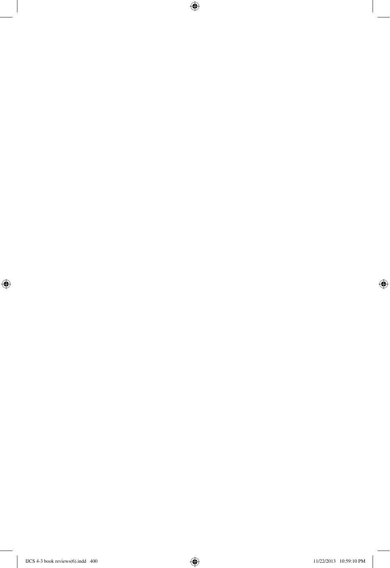

 $\overline{\phantom{a}}$ 

 $\bigoplus$ 

 $\bigoplus$ 

I

 $\bigoplus$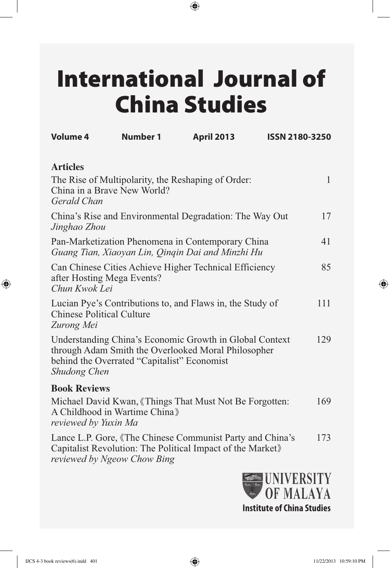## International Journal of China Studies

 $\bigoplus$ 

| <b>Volume 4</b>                                               | <b>Number 1</b>                             | <b>April 2013</b>                                                                                                       | <b>ISSN 2180-3250</b> |
|---------------------------------------------------------------|---------------------------------------------|-------------------------------------------------------------------------------------------------------------------------|-----------------------|
| <b>Articles</b><br>China in a Brave New World?<br>Gerald Chan |                                             | The Rise of Multipolarity, the Reshaping of Order:                                                                      | 1                     |
| Jinghao Zhou                                                  |                                             | China's Rise and Environmental Degradation: The Way Out                                                                 | 17                    |
|                                                               |                                             | Pan-Marketization Phenomena in Contemporary China<br>Guang Tian, Xiaoyan Lin, Qinqin Dai and Minzhi Hu                  | 41                    |
| after Hosting Mega Events?<br>Chun Kwok Lei                   |                                             | Can Chinese Cities Achieve Higher Technical Efficiency                                                                  | 85                    |
| <b>Chinese Political Culture</b><br>Zurong Mei                |                                             | Lucian Pye's Contributions to, and Flaws in, the Study of                                                               | 111                   |
| <b>Shudong Chen</b>                                           | behind the Overrated "Capitalist" Economist | Understanding China's Economic Growth in Global Context<br>through Adam Smith the Overlooked Moral Philosopher          | 129                   |
| <b>Book Reviews</b>                                           |                                             |                                                                                                                         |                       |
| reviewed by Yuxin Ma                                          | A Childhood in Wartime China»               | Michael David Kwan, «Things That Must Not Be Forgotten:                                                                 | 169                   |
| reviewed by Ngeow Chow Bing                                   |                                             | Lance L.P. Gore, 《The Chinese Communist Party and China's<br>Capitalist Revolution: The Political Impact of the Market» | 173                   |



⊕

 $\bigoplus$